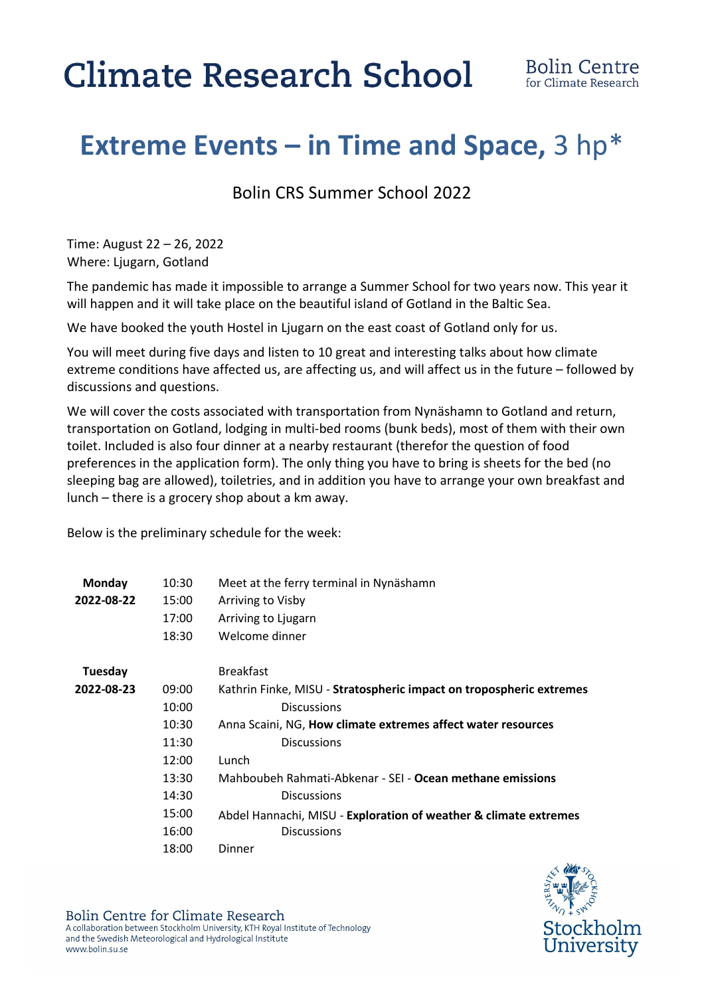## **Climate Research School**

## **Extreme Events – in Time and Space,** 3 hp\*

Bolin CRS Summer School 2022

Time: August 22 – 26, 2022 Where: Ljugarn, Gotland

The pandemic has made it impossible to arrange a Summer School for two years now. This year it will happen and it will take place on the beautiful island of Gotland in the Baltic Sea.

We have booked the youth Hostel in Ljugarn on the east coast of Gotland only for us.

You will meet during five days and listen to 10 great and interesting talks about how climate extreme conditions have affected us, are affecting us, and will affect us in the future – followed by discussions and questions.

We will cover the costs associated with transportation from Nynäshamn to Gotland and return, transportation on Gotland, lodging in multi-bed rooms (bunk beds), most of them with their own toilet. Included is also four dinner at a nearby restaurant (therefor the question of food preferences in the application form). The only thing you have to bring is sheets for the bed (no sleeping bag are allowed), toiletries, and in addition you have to arrange your own breakfast and lunch – there is a grocery shop about a km away.

Below is the preliminary schedule for the week:

| Monday     | 10:30 | Meet at the ferry terminal in Nynäshamn                             |
|------------|-------|---------------------------------------------------------------------|
| 2022-08-22 | 15:00 | Arriving to Visby                                                   |
|            | 17:00 | Arriving to Ljugarn                                                 |
|            | 18:30 | Welcome dinner                                                      |
| Tuesday    |       | <b>Breakfast</b>                                                    |
| 2022-08-23 | 09:00 | Kathrin Finke, MISU - Stratospheric impact on tropospheric extremes |
|            | 10:00 | <b>Discussions</b>                                                  |
|            | 10:30 | Anna Scaini, NG, <b>How climate extremes affect water resources</b> |
|            | 11:30 | <b>Discussions</b>                                                  |
|            | 12:00 | Lunch                                                               |
|            | 13:30 | Mahboubeh Rahmati-Abkenar - SEI - Ocean methane emissions           |
|            | 14:30 | <b>Discussions</b>                                                  |
|            | 15:00 | Abdel Hannachi, MISU - Exploration of weather & climate extremes    |
|            | 16:00 | <b>Discussions</b>                                                  |
|            | 18:00 | Dinner                                                              |